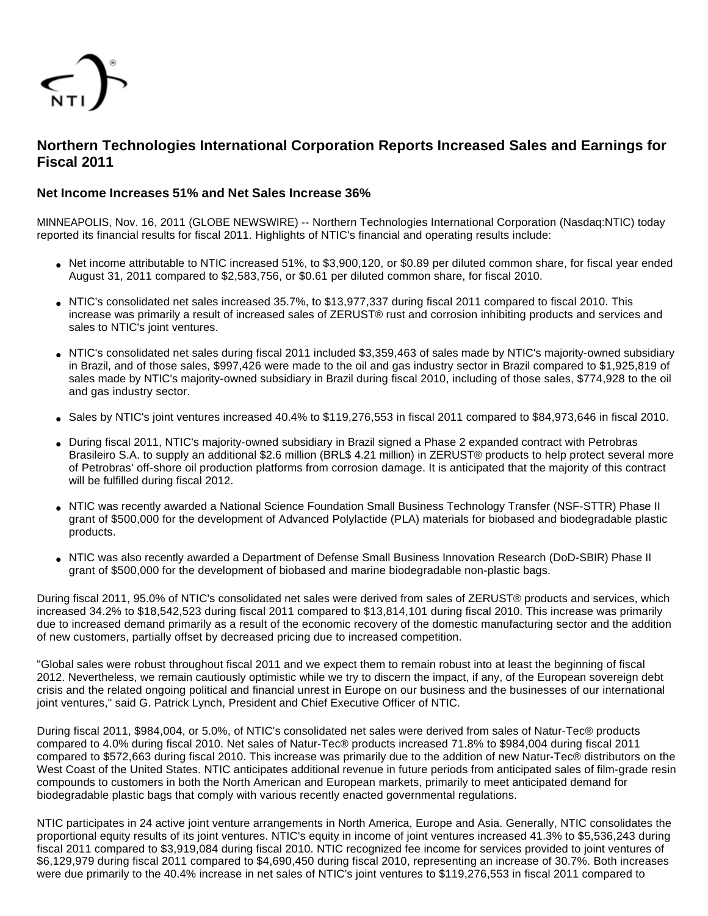

# **Northern Technologies International Corporation Reports Increased Sales and Earnings for Fiscal 2011**

# **Net Income Increases 51% and Net Sales Increase 36%**

MINNEAPOLIS, Nov. 16, 2011 (GLOBE NEWSWIRE) -- Northern Technologies International Corporation (Nasdaq:NTIC) today reported its financial results for fiscal 2011. Highlights of NTIC's financial and operating results include:

- Net income attributable to NTIC increased 51%, to \$3,900,120, or \$0,89 per diluted common share, for fiscal year ended August 31, 2011 compared to \$2,583,756, or \$0.61 per diluted common share, for fiscal 2010.
- NTIC's consolidated net sales increased 35.7%, to \$13,977,337 during fiscal 2011 compared to fiscal 2010. This increase was primarily a result of increased sales of ZERUST® rust and corrosion inhibiting products and services and sales to NTIC's joint ventures.
- NTIC's consolidated net sales during fiscal 2011 included \$3,359,463 of sales made by NTIC's majority-owned subsidiary in Brazil, and of those sales, \$997,426 were made to the oil and gas industry sector in Brazil compared to \$1,925,819 of sales made by NTIC's majority-owned subsidiary in Brazil during fiscal 2010, including of those sales, \$774,928 to the oil and gas industry sector.
- Sales by NTIC's joint ventures increased 40.4% to \$119,276,553 in fiscal 2011 compared to \$84,973,646 in fiscal 2010.
- During fiscal 2011, NTIC's majority-owned subsidiary in Brazil signed a Phase 2 expanded contract with Petrobras Brasileiro S.A. to supply an additional \$2.6 million (BRL\$ 4.21 million) in ZERUST® products to help protect several more of Petrobras' off-shore oil production platforms from corrosion damage. It is anticipated that the majority of this contract will be fulfilled during fiscal 2012.
- NTIC was recently awarded a National Science Foundation Small Business Technology Transfer (NSF-STTR) Phase II grant of \$500,000 for the development of Advanced Polylactide (PLA) materials for biobased and biodegradable plastic products.
- NTIC was also recently awarded a Department of Defense Small Business Innovation Research (DoD-SBIR) Phase II grant of \$500,000 for the development of biobased and marine biodegradable non-plastic bags.

During fiscal 2011, 95.0% of NTIC's consolidated net sales were derived from sales of ZERUST® products and services, which increased 34.2% to \$18,542,523 during fiscal 2011 compared to \$13,814,101 during fiscal 2010. This increase was primarily due to increased demand primarily as a result of the economic recovery of the domestic manufacturing sector and the addition of new customers, partially offset by decreased pricing due to increased competition.

"Global sales were robust throughout fiscal 2011 and we expect them to remain robust into at least the beginning of fiscal 2012. Nevertheless, we remain cautiously optimistic while we try to discern the impact, if any, of the European sovereign debt crisis and the related ongoing political and financial unrest in Europe on our business and the businesses of our international joint ventures," said G. Patrick Lynch, President and Chief Executive Officer of NTIC.

During fiscal 2011, \$984,004, or 5.0%, of NTIC's consolidated net sales were derived from sales of Natur-Tec® products compared to 4.0% during fiscal 2010. Net sales of Natur-Tec® products increased 71.8% to \$984,004 during fiscal 2011 compared to \$572,663 during fiscal 2010. This increase was primarily due to the addition of new Natur-Tec® distributors on the West Coast of the United States. NTIC anticipates additional revenue in future periods from anticipated sales of film-grade resin compounds to customers in both the North American and European markets, primarily to meet anticipated demand for biodegradable plastic bags that comply with various recently enacted governmental regulations.

NTIC participates in 24 active joint venture arrangements in North America, Europe and Asia. Generally, NTIC consolidates the proportional equity results of its joint ventures. NTIC's equity in income of joint ventures increased 41.3% to \$5,536,243 during fiscal 2011 compared to \$3,919,084 during fiscal 2010. NTIC recognized fee income for services provided to joint ventures of \$6,129,979 during fiscal 2011 compared to \$4,690,450 during fiscal 2010, representing an increase of 30.7%. Both increases were due primarily to the 40.4% increase in net sales of NTIC's joint ventures to \$119,276,553 in fiscal 2011 compared to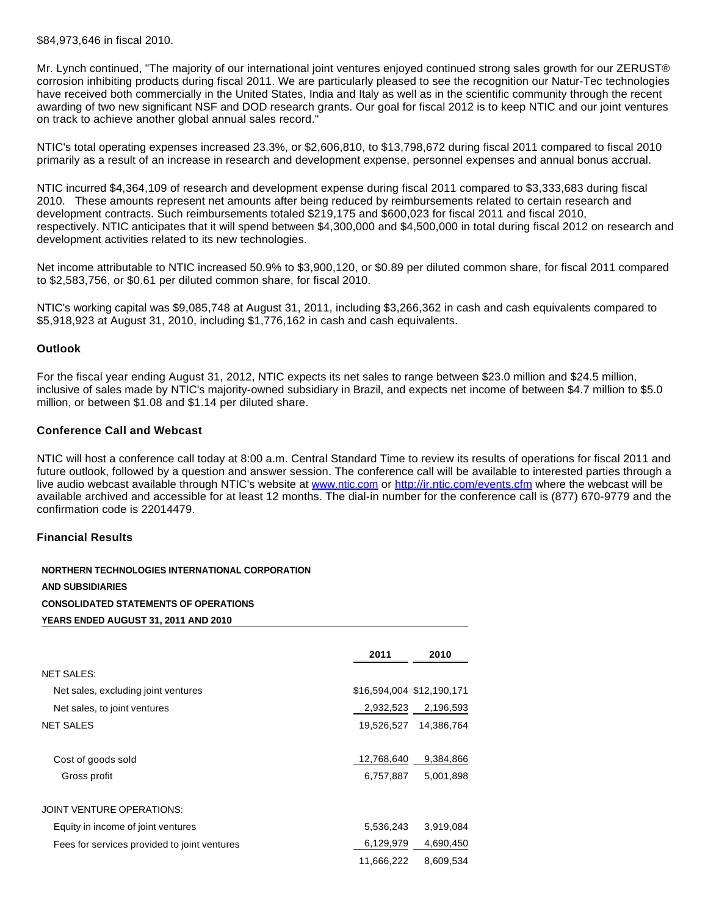\$84,973,646 in fiscal 2010.

Mr. Lynch continued, "The majority of our international joint ventures enjoyed continued strong sales growth for our ZERUST® corrosion inhibiting products during fiscal 2011. We are particularly pleased to see the recognition our Natur-Tec technologies have received both commercially in the United States, India and Italy as well as in the scientific community through the recent awarding of two new significant NSF and DOD research grants. Our goal for fiscal 2012 is to keep NTIC and our joint ventures on track to achieve another global annual sales record."

NTIC's total operating expenses increased 23.3%, or \$2,606,810, to \$13,798,672 during fiscal 2011 compared to fiscal 2010 primarily as a result of an increase in research and development expense, personnel expenses and annual bonus accrual.

NTIC incurred \$4,364,109 of research and development expense during fiscal 2011 compared to \$3,333,683 during fiscal 2010. These amounts represent net amounts after being reduced by reimbursements related to certain research and development contracts. Such reimbursements totaled \$219,175 and \$600,023 for fiscal 2011 and fiscal 2010, respectively. NTIC anticipates that it will spend between \$4,300,000 and \$4,500,000 in total during fiscal 2012 on research and development activities related to its new technologies.

Net income attributable to NTIC increased 50.9% to \$3,900,120, or \$0.89 per diluted common share, for fiscal 2011 compared to \$2,583,756, or \$0.61 per diluted common share, for fiscal 2010.

NTIC's working capital was \$9,085,748 at August 31, 2011, including \$3,266,362 in cash and cash equivalents compared to \$5,918,923 at August 31, 2010, including \$1,776,162 in cash and cash equivalents.

#### **Outlook**

For the fiscal year ending August 31, 2012, NTIC expects its net sales to range between \$23.0 million and \$24.5 million, inclusive of sales made by NTIC's majority-owned subsidiary in Brazil, and expects net income of between \$4.7 million to \$5.0 million, or between \$1.08 and \$1.14 per diluted share.

#### **Conference Call and Webcast**

NTIC will host a conference call today at 8:00 a.m. Central Standard Time to review its results of operations for fiscal 2011 and future outlook, followed by a question and answer session. The conference call will be available to interested parties through a live audio webcast available through NTIC's website at [www.ntic.com](http://www.globenewswire.com/newsroom/ctr?d=238464&l=14&a=www.ntic.com&u=http%3A%2F%2Fwww.ntic.com) or [http://ir.ntic.com/events.cfm](http://www.globenewswire.com/newsroom/ctr?d=238464&l=14&u=http%3A%2F%2Fir.ntic.com%2Fevents.cfm) where the webcast will be available archived and accessible for at least 12 months. The dial-in number for the conference call is (877) 670-9779 and the confirmation code is 22014479.

#### **Financial Results**

**NORTHERN TECHNOLOGIES INTERNATIONAL CORPORATION AND SUBSIDIARIES CONSOLIDATED STATEMENTS OF OPERATIONS YEARS ENDED AUGUST 31, 2011 AND 2010**

|                                              | 2011       | 2010                      |
|----------------------------------------------|------------|---------------------------|
| <b>NET SALES:</b>                            |            |                           |
| Net sales, excluding joint ventures          |            | \$16,594,004 \$12,190,171 |
| Net sales, to joint ventures                 | 2,932,523  | 2,196,593                 |
| <b>NET SALES</b>                             | 19,526,527 | 14,386,764                |
| Cost of goods sold                           | 12,768,640 | 9,384,866                 |
| Gross profit                                 | 6,757,887  | 5,001,898                 |
| JOINT VENTURE OPERATIONS:                    |            |                           |
| Equity in income of joint ventures           | 5,536,243  | 3,919,084                 |
| Fees for services provided to joint ventures | 6,129,979  | 4,690,450                 |
|                                              | 11,666,222 | 8,609,534                 |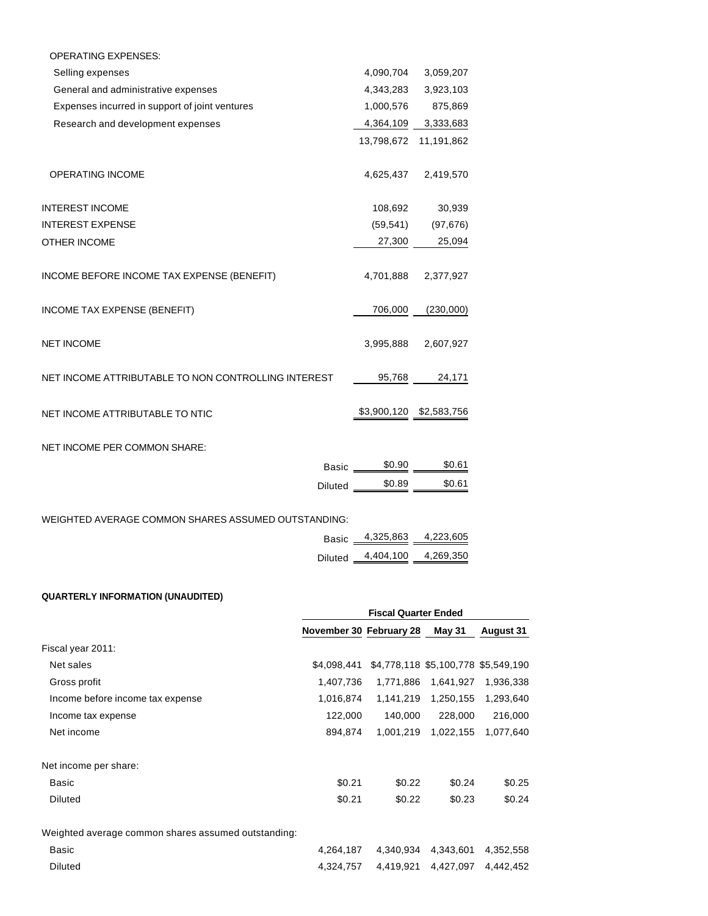| <b>OPERATING EXPENSES:</b>                          |            |                         |
|-----------------------------------------------------|------------|-------------------------|
| Selling expenses                                    | 4,090,704  | 3,059,207               |
| General and administrative expenses                 | 4,343,283  | 3,923,103               |
| Expenses incurred in support of joint ventures      | 1,000,576  | 875,869                 |
| Research and development expenses                   | 4,364,109  | 3,333,683               |
|                                                     | 13,798,672 | 11,191,862              |
|                                                     |            |                         |
| OPERATING INCOME                                    | 4,625,437  | 2,419,570               |
|                                                     |            |                         |
| <b>INTEREST INCOME</b>                              | 108,692    | 30,939                  |
| <b>INTEREST EXPENSE</b>                             | (59, 541)  | (97, 676)               |
| OTHER INCOME                                        | 27,300     | 25,094                  |
|                                                     |            |                         |
| INCOME BEFORE INCOME TAX EXPENSE (BENEFIT)          | 4,701,888  | 2,377,927               |
| INCOME TAX EXPENSE (BENEFIT)                        | 706,000    | (230,000)               |
|                                                     |            |                         |
| <b>NET INCOME</b>                                   | 3,995,888  | 2,607,927               |
|                                                     |            |                         |
| NET INCOME ATTRIBUTABLE TO NON CONTROLLING INTEREST | 95,768     | 24,171                  |
|                                                     |            |                         |
| NET INCOME ATTRIBUTABLE TO NTIC                     |            | \$3,900,120 \$2,583,756 |
|                                                     |            |                         |
| NET INCOME PER COMMON SHARE:                        |            |                         |
| <b>Basic</b>                                        | \$0.90     | \$0.61                  |
| <b>Diluted</b>                                      | \$0.89     | \$0.61                  |
|                                                     |            |                         |

WEIGHTED AVERAGE COMMON SHARES ASSUMED OUTSTANDING:

| Basic 4,325,863 4,223,605   |  |
|-----------------------------|--|
| Diluted 4,404,100 4,269,350 |  |

## **QUARTERLY INFORMATION (UNAUDITED)**

|                                                     |                         | <b>Fiscal Quarter Ended</b> |           |                                     |  |
|-----------------------------------------------------|-------------------------|-----------------------------|-----------|-------------------------------------|--|
|                                                     | November 30 February 28 |                             | May 31    | <b>August 31</b>                    |  |
| Fiscal year 2011:                                   |                         |                             |           |                                     |  |
| Net sales                                           | \$4.098.441             |                             |           | \$4,778,118 \$5,100,778 \$5,549,190 |  |
| Gross profit                                        | 1,407,736               | 1,771,886                   | 1,641,927 | 1,936,338                           |  |
| Income before income tax expense                    | 1,016,874               | 1,141,219                   | 1,250,155 | 1,293,640                           |  |
| Income tax expense                                  | 122,000                 | 140,000                     | 228,000   | 216,000                             |  |
| Net income                                          | 894,874                 | 1,001,219                   | 1,022,155 | 1,077,640                           |  |
| Net income per share:                               |                         |                             |           |                                     |  |
| Basic                                               | \$0.21                  | \$0.22                      | \$0.24    | \$0.25                              |  |
| Diluted                                             | \$0.21                  | \$0.22                      | \$0.23    | \$0.24                              |  |
| Weighted average common shares assumed outstanding: |                         |                             |           |                                     |  |
| Basic                                               | 4,264,187               | 4,340,934                   | 4,343,601 | 4,352,558                           |  |
| <b>Diluted</b>                                      | 4,324,757               | 4,419,921                   | 4.427.097 | 4.442.452                           |  |